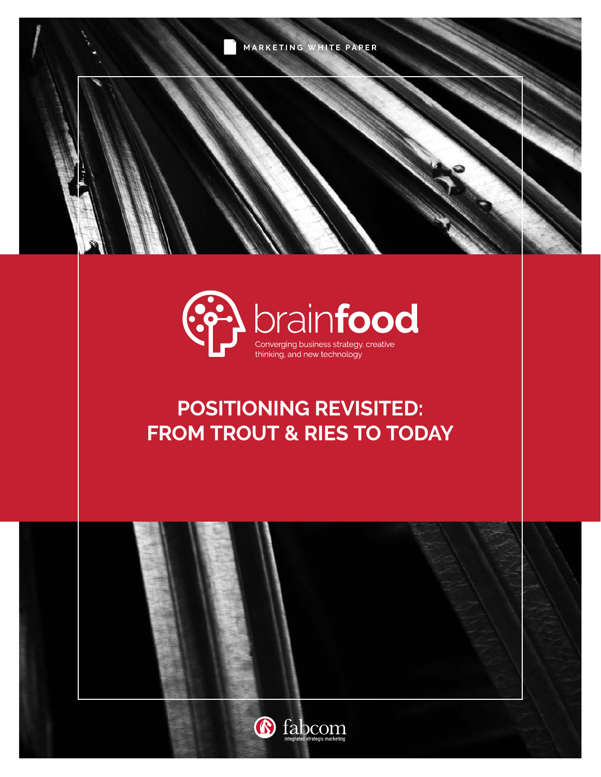



# **POSITIONING REVISITED: FROM TROUT & RIES TO TODAY**

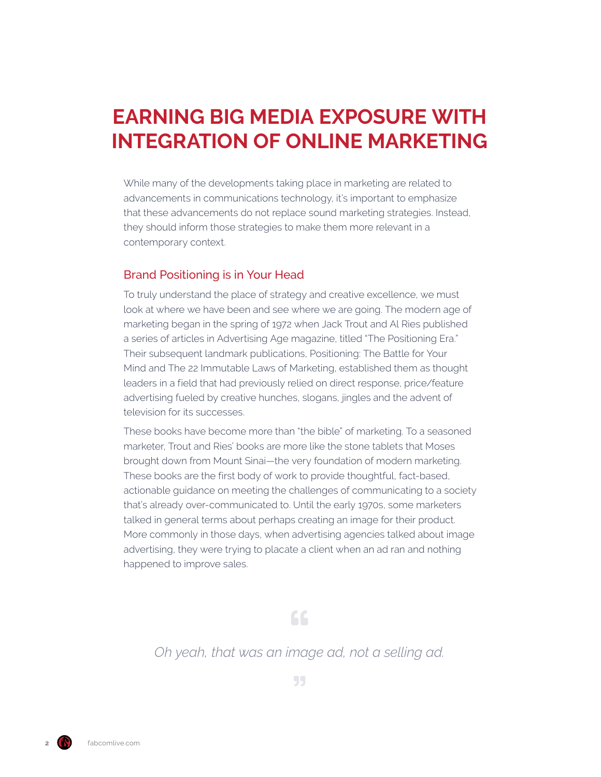## **EARNING BIG MEDIA EXPOSURE WITH INTEGRATION OF ONLINE MARKETING**

While many of the developments taking place in marketing are related to advancements in communications technology, it's important to emphasize that these advancements do not replace sound marketing strategies. Instead, they should inform those strategies to make them more relevant in a contemporary context.

#### Brand Positioning is in Your Head

To truly understand the place of strategy and creative excellence, we must look at where we have been and see where we are going. The modern age of marketing began in the spring of 1972 when Jack Trout and Al Ries published a series of articles in Advertising Age magazine, titled "The Positioning Era." Their subsequent landmark publications, Positioning: The Battle for Your Mind and The 22 Immutable Laws of Marketing, established them as thought leaders in a field that had previously relied on direct response, price/feature advertising fueled by creative hunches, slogans, jingles and the advent of television for its successes.

These books have become more than "the bible" of marketing. To a seasoned marketer, Trout and Ries' books are more like the stone tablets that Moses brought down from Mount Sinai—the very foundation of modern marketing. These books are the first body of work to provide thoughtful, fact-based, actionable guidance on meeting the challenges of communicating to a society that's already over-communicated to. Until the early 1970s, some marketers talked in general terms about perhaps creating an image for their product. More commonly in those days, when advertising agencies talked about image advertising, they were trying to placate a client when an ad ran and nothing happened to improve sales.

 $\mathsf{G}\mathsf{G}$ 

### *Oh yeah, that was an image ad, not a selling ad.*

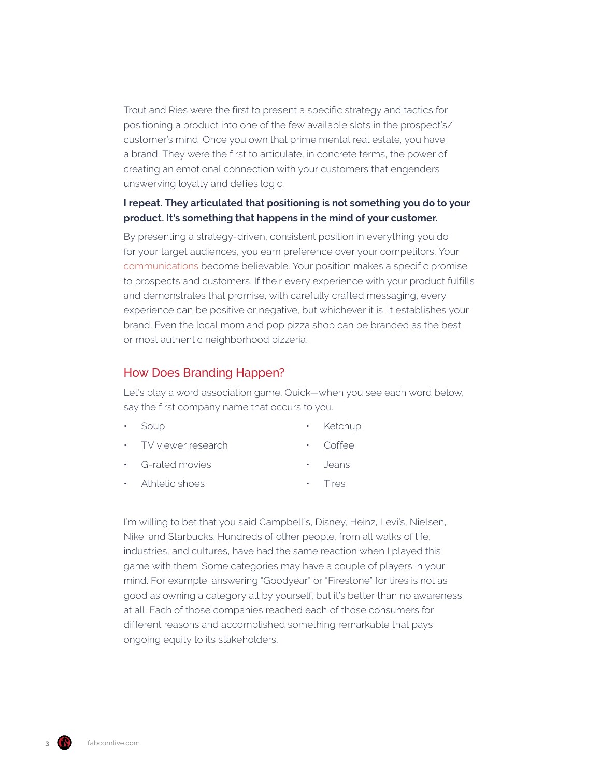Trout and Ries were the first to present a specific strategy and tactics for positioning a product into one of the few available slots in the prospect's/ customer's mind. Once you own that prime mental real estate, you have a brand. They were the first to articulate, in concrete terms, the power of creating an emotional connection with your customers that engenders unswerving loyalty and defies logic.

#### **I repeat. They articulated that positioning is not something you do to your product. It's something that happens in the mind of your customer.**

By presenting a strategy-driven, consistent position in everything you do for your target audiences, you earn preference over your competitors. Your [communications](https://www.fabcomlive.com/phoenix-marketing-advertising-agency-services/marketing-communications) become believable. Your position makes a specific promise to prospects and customers. If their every experience with your product fulfills and demonstrates that promise, with carefully crafted messaging, every experience can be positive or negative, but whichever it is, it establishes your brand. Even the local mom and pop pizza shop can be branded as the best or most authentic neighborhood pizzeria.

#### How Does Branding Happen?

Let's play a word association game. Quick—when you see each word below, say the first company name that occurs to you.

• Soup

- Ketchup
- TV viewer research
- Coffee

• Jeans

- G-rated movies
- 
- Athletic shoes
- Tires

I'm willing to bet that you said Campbell's, Disney, Heinz, Levi's, Nielsen, Nike, and Starbucks. Hundreds of other people, from all walks of life, industries, and cultures, have had the same reaction when I played this game with them. Some categories may have a couple of players in your mind. For example, answering "Goodyear" or "Firestone" for tires is not as good as owning a category all by yourself, but it's better than no awareness at all. Each of those companies reached each of those consumers for different reasons and accomplished something remarkable that pays ongoing equity to its stakeholders.

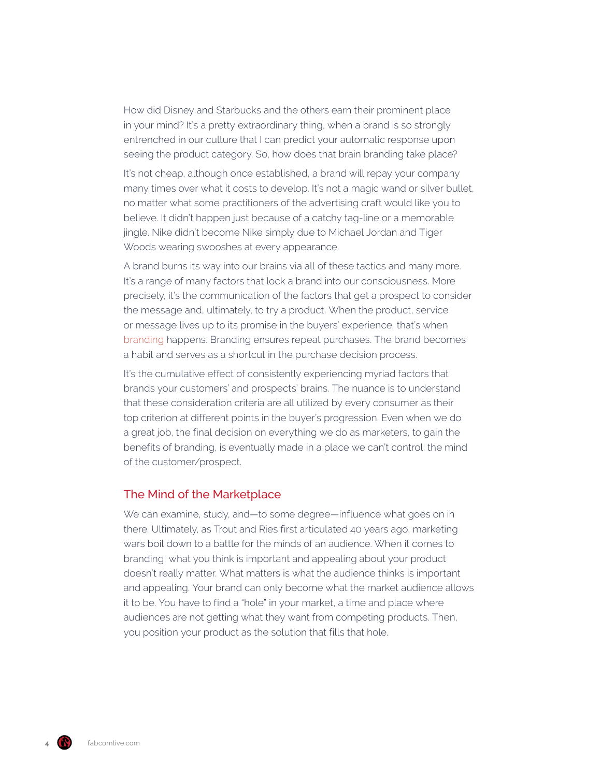How did Disney and Starbucks and the others earn their prominent place in your mind? It's a pretty extraordinary thing, when a brand is so strongly entrenched in our culture that I can predict your automatic response upon seeing the product category. So, how does that brain branding take place?

It's not cheap, although once established, a brand will repay your company many times over what it costs to develop. It's not a magic wand or silver bullet, no matter what some practitioners of the advertising craft would like you to believe. It didn't happen just because of a catchy tag-line or a memorable jingle. Nike didn't become Nike simply due to Michael Jordan and Tiger Woods wearing swooshes at every appearance.

A brand burns its way into our brains via all of these tactics and many more. It's a range of many factors that lock a brand into our consciousness. More precisely, it's the communication of the factors that get a prospect to consider the message and, ultimately, to try a product. When the product, service or message lives up to its promise in the buyers' experience, that's when [branding](https://www.fabcomlive.com/phoenix-marketing-advertising-agency-services/branding-and-positioning) happens. Branding ensures repeat purchases. The brand becomes a habit and serves as a shortcut in the purchase decision process.

It's the cumulative effect of consistently experiencing myriad factors that brands your customers' and prospects' brains. The nuance is to understand that these consideration criteria are all utilized by every consumer as their top criterion at different points in the buyer's progression. Even when we do a great job, the final decision on everything we do as marketers, to gain the benefits of branding, is eventually made in a place we can't control: the mind of the customer/prospect.

#### The Mind of the Marketplace

We can examine, study, and—to some degree—influence what goes on in there. Ultimately, as Trout and Ries first articulated 40 years ago, marketing wars boil down to a battle for the minds of an audience. When it comes to branding, what you think is important and appealing about your product doesn't really matter. What matters is what the audience thinks is important and appealing. Your brand can only become what the market audience allows it to be. You have to find a "hole" in your market, a time and place where audiences are not getting what they want from competing products. Then, you position your product as the solution that fills that hole.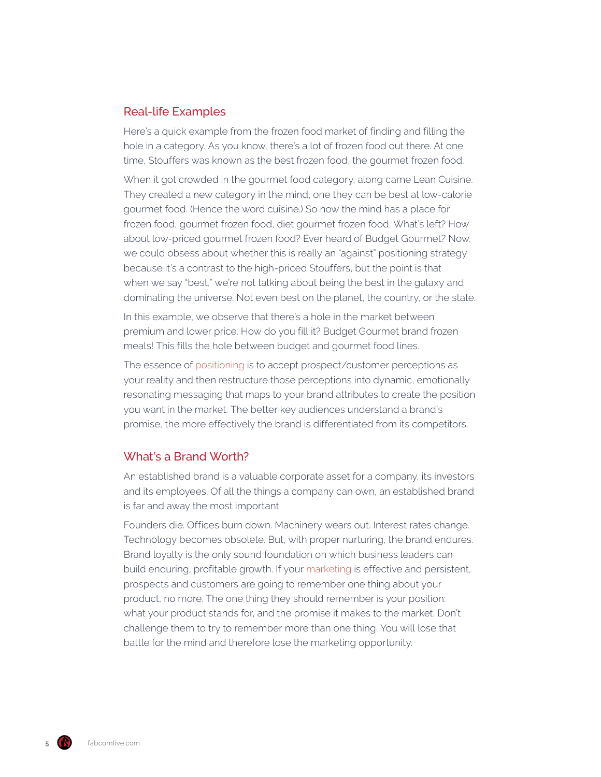#### Real-life Examples

Here's a quick example from the frozen food market of finding and filling the hole in a category. As you know, there's a lot of frozen food out there. At one time, Stouffers was known as the best frozen food, the gourmet frozen food.

When it got crowded in the gourmet food category, along came Lean Cuisine. They created a new category in the mind, one they can be best at low-calorie gourmet food. (Hence the word cuisine.) So now the mind has a place for frozen food, gourmet frozen food, diet gourmet frozen food. What's left? How about low-priced gourmet frozen food? Ever heard of Budget Gourmet? Now, we could obsess about whether this is really an "against" positioning strategy because it's a contrast to the high-priced Stouffers, but the point is that when we say "best," we're not talking about being the best in the galaxy and dominating the universe. Not even best on the planet, the country, or the state.

In this example, we observe that there's a hole in the market between premium and lower price. How do you fill it? Budget Gourmet brand frozen meals! This fills the hole between budget and gourmet food lines.

The essence of [positioning](https://www.fabcomlive.com/phoenix-marketing-advertising-agency-services/branding-and-positioning) is to accept prospect/customer perceptions as your reality and then restructure those perceptions into dynamic, emotionally resonating messaging that maps to your brand attributes to create the position you want in the market. The better key audiences understand a brand's promise, the more effectively the brand is differentiated from its competitors.

#### What's a Brand Worth?

An established brand is a valuable corporate asset for a company, its investors and its employees. Of all the things a company can own, an established brand is far and away the most important.

Founders die. Offices burn down. Machinery wears out. Interest rates change. Technology becomes obsolete. But, with proper nurturing, the brand endures. Brand loyalty is the only sound foundation on which business leaders can build enduring, profitable growth. If your [marketing](https://www.fabcomlive.com/phoenix-marketing-advertising-agency-services/marketing-business-intelligence) is effective and persistent, prospects and customers are going to remember one thing about your product, no more. The one thing they should remember is your position: what your product stands for, and the promise it makes to the market. Don't challenge them to try to remember more than one thing. You will lose that battle for the mind and therefore lose the marketing opportunity.

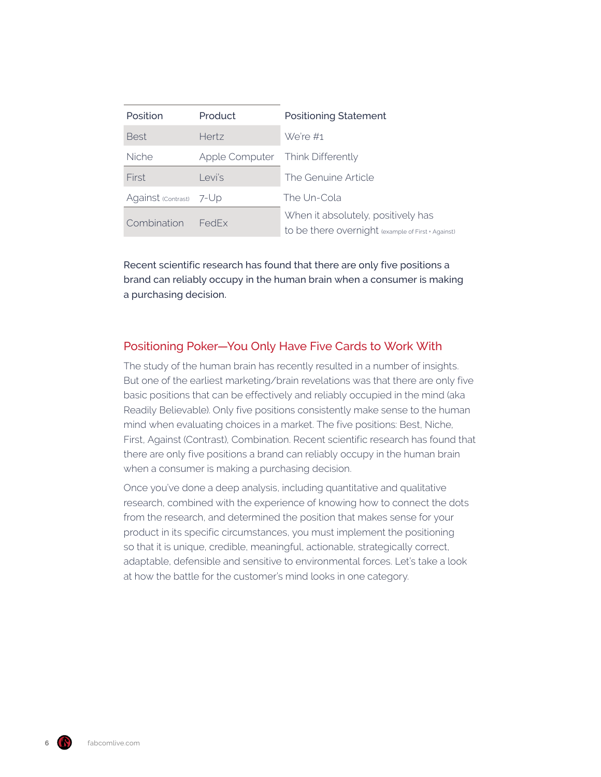| <b>Position</b>         | Product                          | <b>Positioning Statement</b>                                                             |
|-------------------------|----------------------------------|------------------------------------------------------------------------------------------|
| <b>Best</b>             | <b>Hertz</b>                     | We're #1                                                                                 |
| <b>Niche</b>            | Apple Computer Think Differently |                                                                                          |
| First                   | Levi's                           | The Genuine Article                                                                      |
| Against (Contrast) 7-Up |                                  | The Un-Cola                                                                              |
| Combination             | <b>FedEx</b>                     | When it absolutely, positively has<br>to be there overnight (example of First + Against) |

Recent scientific research has found that there are only five positions a brand can reliably occupy in the human brain when a consumer is making a purchasing decision.

#### Positioning Poker—You Only Have Five Cards to Work With

The study of the human brain has recently resulted in a number of insights. But one of the earliest marketing/brain revelations was that there are only five basic positions that can be effectively and reliably occupied in the mind (aka Readily Believable). Only five positions consistently make sense to the human mind when evaluating choices in a market. The five positions: Best, Niche, First, Against (Contrast), Combination. Recent scientific research has found that there are only five positions a brand can reliably occupy in the human brain when a consumer is making a purchasing decision.

Once you've done a deep analysis, including quantitative and qualitative research, combined with the experience of knowing how to connect the dots from the research, and determined the position that makes sense for your product in its specific circumstances, you must implement the positioning so that it is unique, credible, meaningful, actionable, strategically correct, adaptable, defensible and sensitive to environmental forces. Let's take a look at how the battle for the customer's mind looks in one category.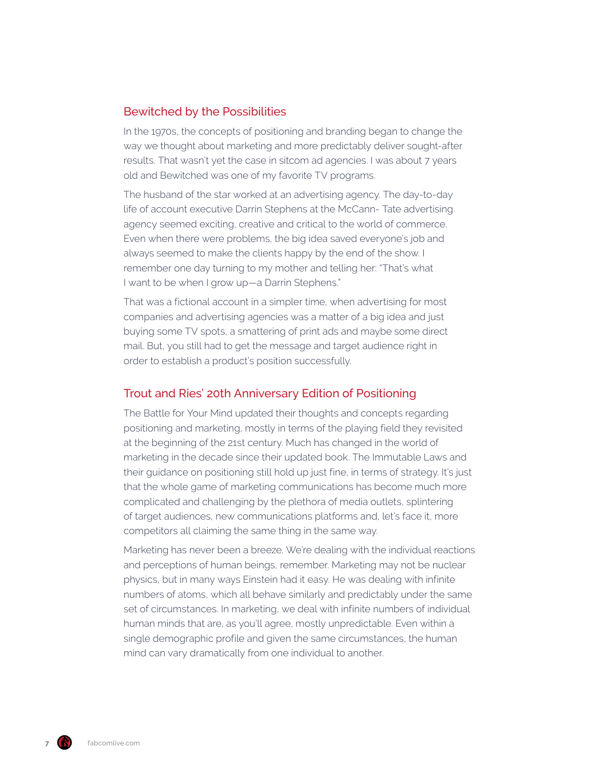#### Bewitched by the Possibilities

In the 1970s, the concepts of positioning and branding began to change the way we thought about marketing and more predictably deliver sought-after results. That wasn't yet the case in sitcom ad agencies. I was about 7 years old and Bewitched was one of my favorite TV programs.

The husband of the star worked at an advertising agency. The day-to-day life of account executive Darrin Stephens at the McCann- Tate advertising agency seemed exciting, creative and critical to the world of commerce. Even when there were problems, the big idea saved everyone's job and always seemed to make the clients happy by the end of the show. I remember one day turning to my mother and telling her: "That's what I want to be when I grow up—a Darrin Stephens."

That was a fictional account in a simpler time, when advertising for most companies and advertising agencies was a matter of a big idea and just buying some TV spots, a smattering of print ads and maybe some direct mail. But, you still had to get the message and target audience right in order to establish a product's position successfully.

#### Trout and Ries' 20th Anniversary Edition of Positioning

The Battle for Your Mind updated their thoughts and concepts regarding positioning and marketing, mostly in terms of the playing field they revisited at the beginning of the 21st century. Much has changed in the world of marketing in the decade since their updated book. The Immutable Laws and their guidance on positioning still hold up just fine, in terms of strategy. It's just that the whole game of marketing communications has become much more complicated and challenging by the plethora of media outlets, splintering of target audiences, new communications platforms and, let's face it, more competitors all claiming the same thing in the same way.

Marketing has never been a breeze. We're dealing with the individual reactions and perceptions of human beings, remember. Marketing may not be nuclear physics, but in many ways Einstein had it easy. He was dealing with infinite numbers of atoms, which all behave similarly and predictably under the same set of circumstances. In marketing, we deal with infinite numbers of individual human minds that are, as you'll agree, mostly unpredictable. Even within a single demographic profile and given the same circumstances, the human mind can vary dramatically from one individual to another.

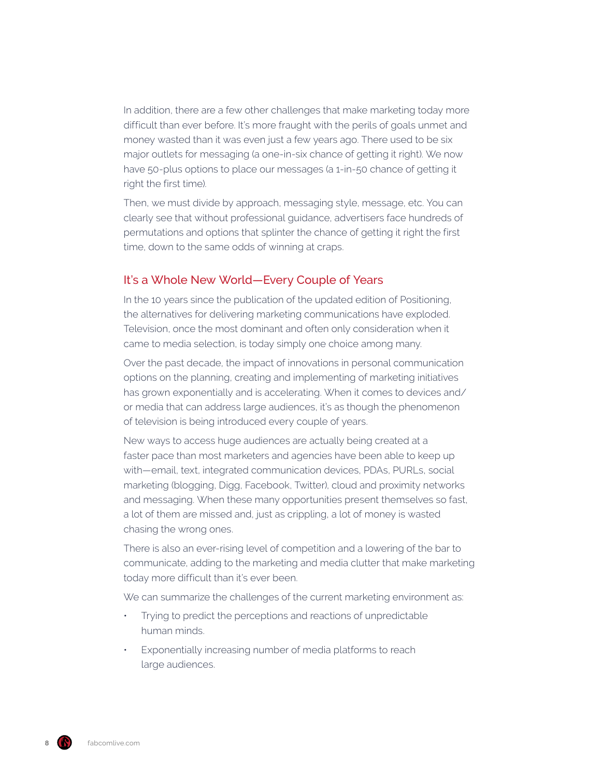In addition, there are a few other challenges that make marketing today more difficult than ever before. It's more fraught with the perils of goals unmet and money wasted than it was even just a few years ago. There used to be six major outlets for messaging (a one-in-six chance of getting it right). We now have 50-plus options to place our messages (a 1-in-50 chance of getting it right the first time).

Then, we must divide by approach, messaging style, message, etc. You can clearly see that without professional guidance, advertisers face hundreds of permutations and options that splinter the chance of getting it right the first time, down to the same odds of winning at craps.

#### It's a Whole New World—Every Couple of Years

In the 10 years since the publication of the updated edition of Positioning, the alternatives for delivering marketing communications have exploded. Television, once the most dominant and often only consideration when it came to media selection, is today simply one choice among many.

Over the past decade, the impact of innovations in personal communication options on the planning, creating and implementing of marketing initiatives has grown exponentially and is accelerating. When it comes to devices and/ or media that can address large audiences, it's as though the phenomenon of television is being introduced every couple of years.

New ways to access huge audiences are actually being created at a faster pace than most marketers and agencies have been able to keep up with—email, text, integrated communication devices, PDAs, PURLs, social marketing (blogging, Digg, Facebook, Twitter), cloud and proximity networks and messaging. When these many opportunities present themselves so fast, a lot of them are missed and, just as crippling, a lot of money is wasted chasing the wrong ones.

There is also an ever-rising level of competition and a lowering of the bar to communicate, adding to the marketing and media clutter that make marketing today more difficult than it's ever been.

We can summarize the challenges of the current marketing environment as:

- Trying to predict the perceptions and reactions of unpredictable human minds.
- Exponentially increasing number of media platforms to reach large audiences.